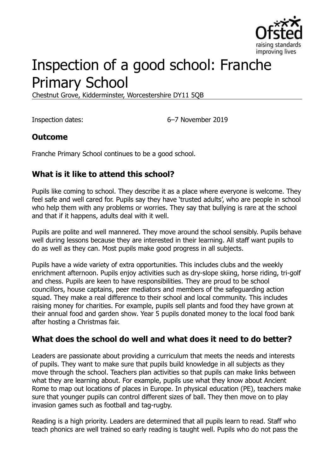

# Inspection of a good school: Franche Primary School

Chestnut Grove, Kidderminster, Worcestershire DY11 5QB

Inspection dates: 6–7 November 2019

#### **Outcome**

Franche Primary School continues to be a good school.

#### **What is it like to attend this school?**

Pupils like coming to school. They describe it as a place where everyone is welcome. They feel safe and well cared for. Pupils say they have 'trusted adults', who are people in school who help them with any problems or worries. They say that bullying is rare at the school and that if it happens, adults deal with it well.

Pupils are polite and well mannered. They move around the school sensibly. Pupils behave well during lessons because they are interested in their learning. All staff want pupils to do as well as they can. Most pupils make good progress in all subjects.

Pupils have a wide variety of extra opportunities. This includes clubs and the weekly enrichment afternoon. Pupils enjoy activities such as dry-slope skiing, horse riding, tri-golf and chess. Pupils are keen to have responsibilities. They are proud to be school councillors, house captains, peer mediators and members of the safeguarding action squad. They make a real difference to their school and local community. This includes raising money for charities. For example, pupils sell plants and food they have grown at their annual food and garden show. Year 5 pupils donated money to the local food bank after hosting a Christmas fair.

#### **What does the school do well and what does it need to do better?**

Leaders are passionate about providing a curriculum that meets the needs and interests of pupils. They want to make sure that pupils build knowledge in all subjects as they move through the school. Teachers plan activities so that pupils can make links between what they are learning about. For example, pupils use what they know about Ancient Rome to map out locations of places in Europe. In physical education (PE), teachers make sure that younger pupils can control different sizes of ball. They then move on to play invasion games such as football and tag-rugby.

Reading is a high priority. Leaders are determined that all pupils learn to read. Staff who teach phonics are well trained so early reading is taught well. Pupils who do not pass the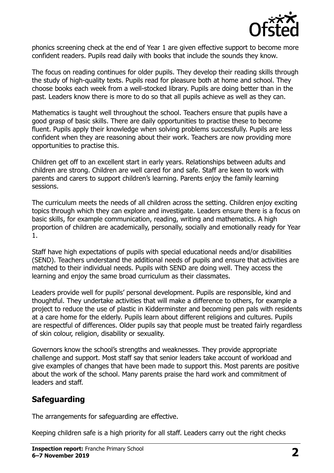

phonics screening check at the end of Year 1 are given effective support to become more confident readers. Pupils read daily with books that include the sounds they know.

The focus on reading continues for older pupils. They develop their reading skills through the study of high-quality texts. Pupils read for pleasure both at home and school. They choose books each week from a well-stocked library. Pupils are doing better than in the past. Leaders know there is more to do so that all pupils achieve as well as they can.

Mathematics is taught well throughout the school. Teachers ensure that pupils have a good grasp of basic skills. There are daily opportunities to practise these to become fluent. Pupils apply their knowledge when solving problems successfully. Pupils are less confident when they are reasoning about their work. Teachers are now providing more opportunities to practise this.

Children get off to an excellent start in early years. Relationships between adults and children are strong. Children are well cared for and safe. Staff are keen to work with parents and carers to support children's learning. Parents enjoy the family learning sessions.

The curriculum meets the needs of all children across the setting. Children enjoy exciting topics through which they can explore and investigate. Leaders ensure there is a focus on basic skills, for example communication, reading, writing and mathematics. A high proportion of children are academically, personally, socially and emotionally ready for Year 1.

Staff have high expectations of pupils with special educational needs and/or disabilities (SEND). Teachers understand the additional needs of pupils and ensure that activities are matched to their individual needs. Pupils with SEND are doing well. They access the learning and enjoy the same broad curriculum as their classmates.

Leaders provide well for pupils' personal development. Pupils are responsible, kind and thoughtful. They undertake activities that will make a difference to others, for example a project to reduce the use of plastic in Kidderminster and becoming pen pals with residents at a care home for the elderly. Pupils learn about different religions and cultures. Pupils are respectful of differences. Older pupils say that people must be treated fairly regardless of skin colour, religion, disability or sexuality.

Governors know the school's strengths and weaknesses. They provide appropriate challenge and support. Most staff say that senior leaders take account of workload and give examples of changes that have been made to support this. Most parents are positive about the work of the school. Many parents praise the hard work and commitment of leaders and staff.

# **Safeguarding**

The arrangements for safeguarding are effective.

Keeping children safe is a high priority for all staff. Leaders carry out the right checks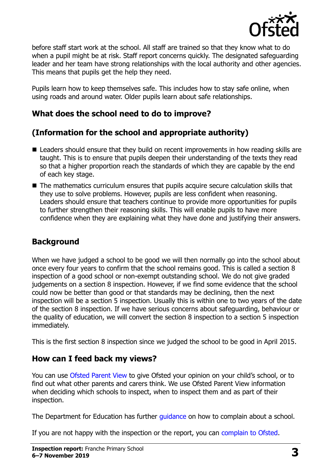

before staff start work at the school. All staff are trained so that they know what to do when a pupil might be at risk. Staff report concerns quickly. The designated safeguarding leader and her team have strong relationships with the local authority and other agencies. This means that pupils get the help they need.

Pupils learn how to keep themselves safe. This includes how to stay safe online, when using roads and around water. Older pupils learn about safe relationships.

## **What does the school need to do to improve?**

# **(Information for the school and appropriate authority)**

- Leaders should ensure that they build on recent improvements in how reading skills are taught. This is to ensure that pupils deepen their understanding of the texts they read so that a higher proportion reach the standards of which they are capable by the end of each key stage.
- The mathematics curriculum ensures that pupils acquire secure calculation skills that they use to solve problems. However, pupils are less confident when reasoning. Leaders should ensure that teachers continue to provide more opportunities for pupils to further strengthen their reasoning skills. This will enable pupils to have more confidence when they are explaining what they have done and justifying their answers.

# **Background**

When we have judged a school to be good we will then normally go into the school about once every four years to confirm that the school remains good. This is called a section 8 inspection of a good school or non-exempt outstanding school. We do not give graded judgements on a section 8 inspection. However, if we find some evidence that the school could now be better than good or that standards may be declining, then the next inspection will be a section 5 inspection. Usually this is within one to two years of the date of the section 8 inspection. If we have serious concerns about safeguarding, behaviour or the quality of education, we will convert the section 8 inspection to a section 5 inspection immediately.

This is the first section 8 inspection since we judged the school to be good in April 2015.

# **How can I feed back my views?**

You can use [Ofsted Parent View](https://parentview.ofsted.gov.uk/) to give Ofsted your opinion on your child's school, or to find out what other parents and carers think. We use Ofsted Parent View information when deciding which schools to inspect, when to inspect them and as part of their inspection.

The Department for Education has further quidance on how to complain about a school.

If you are not happy with the inspection or the report, you can [complain to Ofsted.](https://www.gov.uk/complain-ofsted-report)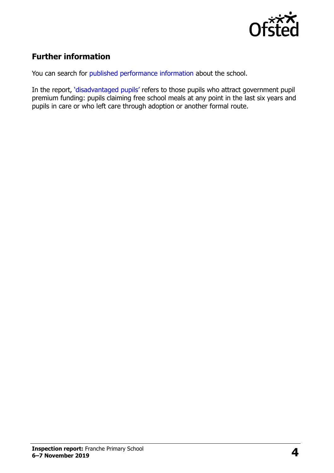

# **Further information**

You can search for [published performance information](http://www.compare-school-performance.service.gov.uk/) about the school.

In the report, '[disadvantaged pupils](http://www.gov.uk/guidance/pupil-premium-information-for-schools-and-alternative-provision-settings)' refers to those pupils who attract government pupil premium funding: pupils claiming free school meals at any point in the last six years and pupils in care or who left care through adoption or another formal route.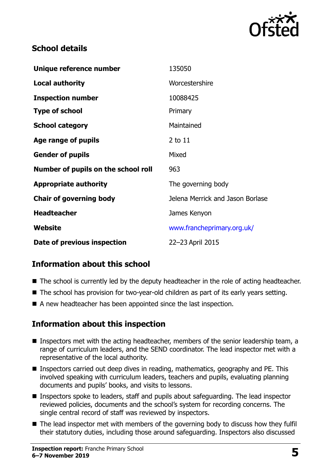

#### **School details**

| Unique reference number             | 135050                           |
|-------------------------------------|----------------------------------|
| <b>Local authority</b>              | Worcestershire                   |
| <b>Inspection number</b>            | 10088425                         |
| <b>Type of school</b>               | Primary                          |
| <b>School category</b>              | Maintained                       |
| Age range of pupils                 | 2 to 11                          |
| <b>Gender of pupils</b>             | Mixed                            |
| Number of pupils on the school roll | 963                              |
| <b>Appropriate authority</b>        | The governing body               |
| <b>Chair of governing body</b>      | Jelena Merrick and Jason Borlase |
| <b>Headteacher</b>                  | James Kenyon                     |
| Website                             | www.francheprimary.org.uk/       |
| Date of previous inspection         | 22-23 April 2015                 |

# **Information about this school**

- The school is currently led by the deputy headteacher in the role of acting headteacher.
- The school has provision for two-year-old children as part of its early years setting.
- A new headteacher has been appointed since the last inspection.

# **Information about this inspection**

- Inspectors met with the acting headteacher, members of the senior leadership team, a range of curriculum leaders, and the SEND coordinator. The lead inspector met with a representative of the local authority.
- Inspectors carried out deep dives in reading, mathematics, geography and PE. This involved speaking with curriculum leaders, teachers and pupils, evaluating planning documents and pupils' books, and visits to lessons.
- Inspectors spoke to leaders, staff and pupils about safeguarding. The lead inspector reviewed policies, documents and the school's system for recording concerns. The single central record of staff was reviewed by inspectors.
- The lead inspector met with members of the governing body to discuss how they fulfil their statutory duties, including those around safeguarding. Inspectors also discussed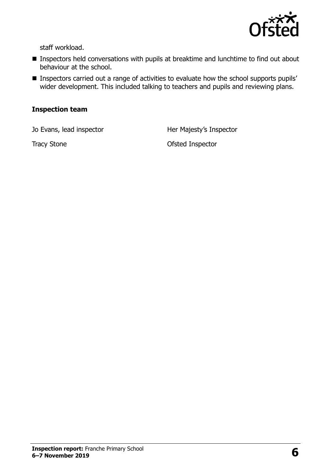

staff workload.

- **Inspectors held conversations with pupils at breaktime and lunchtime to find out about** behaviour at the school.
- **Inspectors carried out a range of activities to evaluate how the school supports pupils'** wider development. This included talking to teachers and pupils and reviewing plans.

#### **Inspection team**

Jo Evans, lead inspector **Her Majesty's Inspector** 

Tracy Stone **Ofsted Inspector**